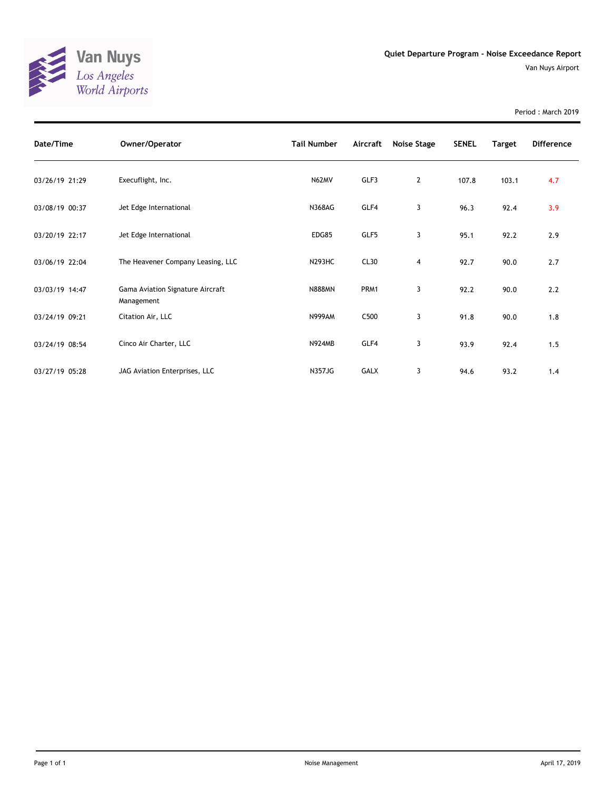

Period : March 2019

| Date/Time      | Owner/Operator                                 | <b>Tail Number</b> | Aircraft    | Noise Stage | <b>SENEL</b> | <b>Target</b> | <b>Difference</b> |
|----------------|------------------------------------------------|--------------------|-------------|-------------|--------------|---------------|-------------------|
| 03/26/19 21:29 | Execuflight, Inc.                              | N62MV              | GLF3        | 2           | 107.8        | 103.1         | 4.7               |
| 03/08/19 00:37 | Jet Edge International                         | <b>N368AG</b>      | GLF4        | 3           | 96.3         | 92.4          | 3.9               |
| 03/20/19 22:17 | Jet Edge International                         | EDG85              | GLF5        | 3           | 95.1         | 92.2          | 2.9               |
| 03/06/19 22:04 | The Heavener Company Leasing, LLC              | <b>N293HC</b>      | CL30        | 4           | 92.7         | 90.0          | 2.7               |
| 03/03/19 14:47 | Gama Aviation Signature Aircraft<br>Management | <b>N888MN</b>      | PRM1        | 3           | 92.2         | 90.0          | 2.2               |
| 03/24/19 09:21 | Citation Air, LLC                              | <b>N999AM</b>      | C500        | 3           | 91.8         | 90.0          | 1.8               |
| 03/24/19 08:54 | Cinco Air Charter, LLC                         | <b>N924MB</b>      | GLF4        | 3           | 93.9         | 92.4          | 1.5               |
| 03/27/19 05:28 | JAG Aviation Enterprises, LLC                  | <b>N357JG</b>      | <b>GALX</b> | 3           | 94.6         | 93.2          | 1.4               |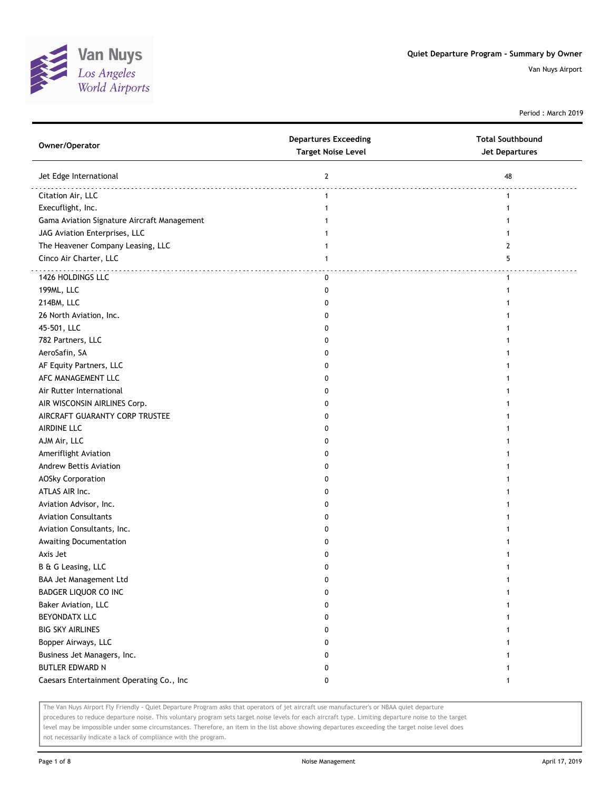

Period : March 2019

| Owner/Operator                              | <b>Departures Exceeding</b><br><b>Target Noise Level</b> | <b>Total Southbound</b><br><b>Jet Departures</b> |
|---------------------------------------------|----------------------------------------------------------|--------------------------------------------------|
| Jet Edge International                      | $\mathbf{2}$                                             | 48                                               |
| Citation Air, LLC                           | $\mathbf{1}$                                             | 1                                                |
| Execuflight, Inc.                           | 1                                                        | 1                                                |
| Gama Aviation Signature Aircraft Management |                                                          |                                                  |
| JAG Aviation Enterprises, LLC               |                                                          |                                                  |
| The Heavener Company Leasing, LLC           | 1                                                        | 2                                                |
| Cinco Air Charter, LLC                      | 1                                                        | 5                                                |
| 1426 HOLDINGS LLC                           | 0                                                        | $\mathbf{1}$                                     |
| 199ML, LLC                                  | 0                                                        | 1                                                |
| 214BM, LLC                                  | 0                                                        |                                                  |
| 26 North Aviation, Inc.                     | 0                                                        |                                                  |
| 45-501, LLC                                 | 0                                                        |                                                  |
| 782 Partners, LLC                           | 0                                                        |                                                  |
| AeroSafin, SA                               | 0                                                        |                                                  |
| AF Equity Partners, LLC                     | 0                                                        |                                                  |
| AFC MANAGEMENT LLC                          | 0                                                        |                                                  |
| Air Rutter International                    | 0                                                        |                                                  |
| AIR WISCONSIN AIRLINES Corp.                | 0                                                        |                                                  |
| AIRCRAFT GUARANTY CORP TRUSTEE              | 0                                                        |                                                  |
| AIRDINE LLC                                 | 0                                                        |                                                  |
| AJM Air, LLC                                | 0                                                        |                                                  |
| Ameriflight Aviation                        | 0                                                        |                                                  |
| Andrew Bettis Aviation                      | 0                                                        |                                                  |
| <b>AOSky Corporation</b>                    | 0                                                        |                                                  |
| ATLAS AIR Inc.                              | 0                                                        |                                                  |
| Aviation Advisor, Inc.                      | 0                                                        |                                                  |
| <b>Aviation Consultants</b>                 | 0                                                        |                                                  |
| Aviation Consultants, Inc.                  | 0                                                        |                                                  |
| Awaiting Documentation                      | 0                                                        |                                                  |
| Axis Jet                                    | 0                                                        |                                                  |
| B & G Leasing, LLC                          | 0                                                        |                                                  |
| BAA Jet Management Ltd                      | 0                                                        |                                                  |
| BADGER LIQUOR CO INC                        | 0                                                        |                                                  |
| Baker Aviation, LLC                         | 0                                                        |                                                  |
| BEYONDATX LLC                               | 0                                                        |                                                  |
| <b>BIG SKY AIRLINES</b>                     | 0                                                        |                                                  |
| Bopper Airways, LLC                         | 0                                                        |                                                  |
| Business Jet Managers, Inc.                 | 0                                                        |                                                  |
| <b>BUTLER EDWARD N</b>                      | 0                                                        | 1                                                |
| Caesars Entertainment Operating Co., Inc    | 0                                                        | 1                                                |

The Van Nuys Airport Fly Friendly - Quiet Departure Program asks that operators of jet aircraft use manufacturer's or NBAA quiet departure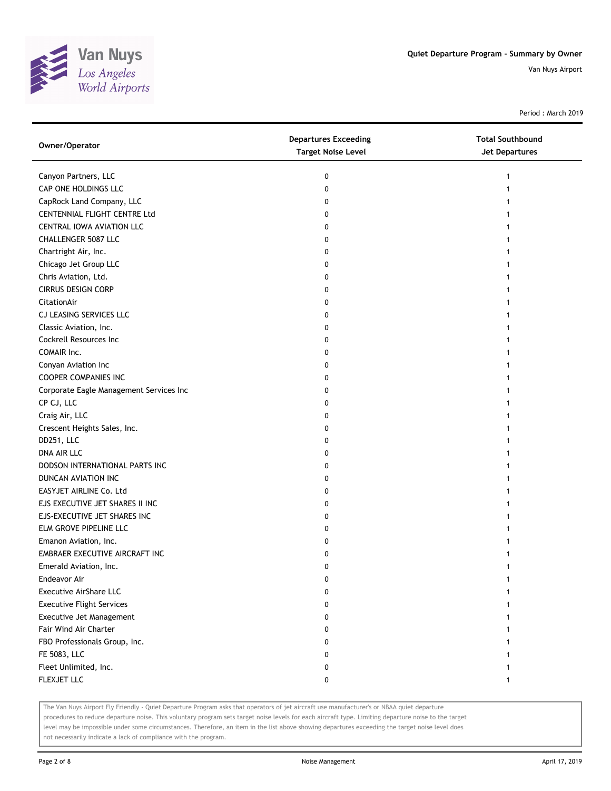

Period : March 2019

| Owner/Operator                          | <b>Departures Exceeding</b><br><b>Target Noise Level</b> | <b>Total Southbound</b><br>Jet Departures |
|-----------------------------------------|----------------------------------------------------------|-------------------------------------------|
| Canyon Partners, LLC                    | 0                                                        |                                           |
| CAP ONE HOLDINGS LLC                    | 0                                                        |                                           |
| CapRock Land Company, LLC               | 0                                                        |                                           |
| CENTENNIAL FLIGHT CENTRE Ltd            | 0                                                        |                                           |
| CENTRAL IOWA AVIATION LLC               | 0                                                        |                                           |
| CHALLENGER 5087 LLC                     | 0                                                        |                                           |
| Chartright Air, Inc.                    | 0                                                        |                                           |
| Chicago Jet Group LLC                   | 0                                                        |                                           |
| Chris Aviation, Ltd.                    | 0                                                        |                                           |
| <b>CIRRUS DESIGN CORP</b>               | 0                                                        |                                           |
| CitationAir                             | 0                                                        |                                           |
| CJ LEASING SERVICES LLC                 | 0                                                        |                                           |
| Classic Aviation, Inc.                  | 0                                                        |                                           |
| Cockrell Resources Inc                  | 0                                                        |                                           |
| COMAIR Inc.                             | 0                                                        |                                           |
| Conyan Aviation Inc                     | 0                                                        |                                           |
| <b>COOPER COMPANIES INC</b>             | 0                                                        |                                           |
| Corporate Eagle Management Services Inc | 0                                                        |                                           |
| CP CJ, LLC                              | 0                                                        |                                           |
| Craig Air, LLC                          | 0                                                        |                                           |
| Crescent Heights Sales, Inc.            | 0                                                        |                                           |
| DD251, LLC                              | 0                                                        |                                           |
| DNA AIR LLC                             | 0                                                        |                                           |
| DODSON INTERNATIONAL PARTS INC          | 0                                                        |                                           |
| DUNCAN AVIATION INC                     | 0                                                        |                                           |
| EASYJET AIRLINE Co. Ltd                 | 0                                                        |                                           |
| EJS EXECUTIVE JET SHARES II INC         | 0                                                        |                                           |
| EJS-EXECUTIVE JET SHARES INC            | 0                                                        |                                           |
| ELM GROVE PIPELINE LLC                  | 0                                                        |                                           |
| Emanon Aviation, Inc.                   | 0                                                        |                                           |
| EMBRAER EXECUTIVE AIRCRAFT INC          | 0                                                        |                                           |
| Emerald Aviation, Inc.                  | 0                                                        |                                           |
| Endeavor Air                            | 0                                                        |                                           |
| <b>Executive AirShare LLC</b>           | 0                                                        |                                           |
| <b>Executive Flight Services</b>        | 0                                                        |                                           |
| Executive Jet Management                | 0                                                        |                                           |
| Fair Wind Air Charter                   | 0                                                        |                                           |
| FBO Professionals Group, Inc.           | 0                                                        |                                           |
| FE 5083, LLC                            | 0                                                        |                                           |
| Fleet Unlimited, Inc.                   | 0                                                        |                                           |
| FLEXJET LLC                             | 0                                                        | $\mathbf{1}$                              |

The Van Nuys Airport Fly Friendly - Quiet Departure Program asks that operators of jet aircraft use manufacturer's or NBAA quiet departure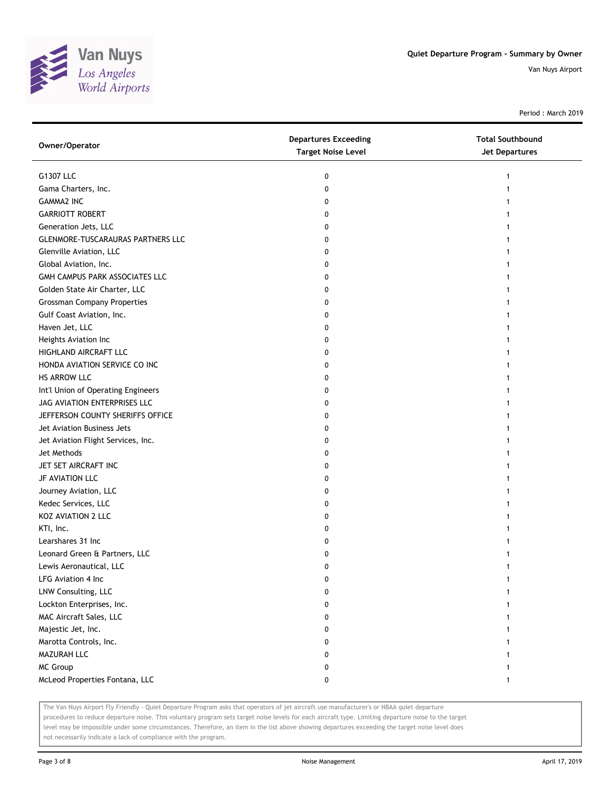

Period : March 2019

| Owner/Operator                           | <b>Departures Exceeding</b><br><b>Target Noise Level</b> | <b>Total Southbound</b><br>Jet Departures |
|------------------------------------------|----------------------------------------------------------|-------------------------------------------|
| G1307 LLC                                | 0                                                        |                                           |
| Gama Charters, Inc.                      | 0                                                        |                                           |
| <b>GAMMA2 INC</b>                        | 0                                                        |                                           |
| <b>GARRIOTT ROBERT</b>                   | 0                                                        |                                           |
| Generation Jets, LLC                     | 0                                                        |                                           |
| <b>GLENMORE-TUSCARAURAS PARTNERS LLC</b> | 0                                                        |                                           |
| Glenville Aviation, LLC                  | 0                                                        |                                           |
| Global Aviation, Inc.                    | 0                                                        |                                           |
| GMH CAMPUS PARK ASSOCIATES LLC           | 0                                                        |                                           |
| Golden State Air Charter, LLC            | 0                                                        |                                           |
| <b>Grossman Company Properties</b>       | 0                                                        |                                           |
| Gulf Coast Aviation, Inc.                | 0                                                        |                                           |
| Haven Jet, LLC                           | 0                                                        |                                           |
| Heights Aviation Inc                     | 0                                                        |                                           |
| HIGHLAND AIRCRAFT LLC                    | 0                                                        |                                           |
| HONDA AVIATION SERVICE CO INC            | 0                                                        |                                           |
| HS ARROW LLC                             | 0                                                        |                                           |
| Int'l Union of Operating Engineers       | 0                                                        |                                           |
| JAG AVIATION ENTERPRISES LLC             | 0                                                        |                                           |
| JEFFERSON COUNTY SHERIFFS OFFICE         | 0                                                        |                                           |
| Jet Aviation Business Jets               | 0                                                        |                                           |
| Jet Aviation Flight Services, Inc.       | 0                                                        |                                           |
| Jet Methods                              | 0                                                        |                                           |
| JET SET AIRCRAFT INC                     | 0                                                        |                                           |
| JF AVIATION LLC                          | 0                                                        |                                           |
| Journey Aviation, LLC                    | 0                                                        |                                           |
| Kedec Services, LLC                      | 0                                                        |                                           |
| KOZ AVIATION 2 LLC                       | 0                                                        |                                           |
| KTI, Inc.                                | 0                                                        |                                           |
| Learshares 31 Inc                        | 0                                                        |                                           |
| Leonard Green & Partners, LLC            | 0                                                        |                                           |
| Lewis Aeronautical, LLC                  | 0                                                        |                                           |
| LFG Aviation 4 Inc                       | 0                                                        |                                           |
| LNW Consulting, LLC                      | 0                                                        |                                           |
| Lockton Enterprises, Inc.                | 0                                                        |                                           |
| MAC Aircraft Sales, LLC                  | 0                                                        |                                           |
| Majestic Jet, Inc.                       | 0                                                        |                                           |
| Marotta Controls, Inc.                   | 0                                                        |                                           |
| MAZURAH LLC                              | 0                                                        |                                           |
| <b>MC Group</b>                          | 0                                                        |                                           |
| McLeod Properties Fontana, LLC           | 0                                                        | $\mathbf{1}$                              |

The Van Nuys Airport Fly Friendly - Quiet Departure Program asks that operators of jet aircraft use manufacturer's or NBAA quiet departure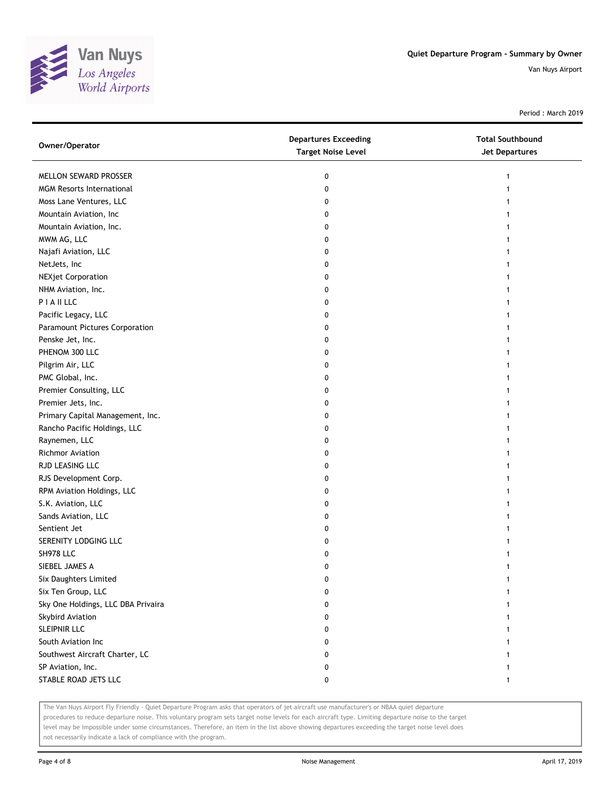

Period : March 2019

| Owner/Operator                     | <b>Departures Exceeding</b><br><b>Target Noise Level</b> | <b>Total Southbound</b><br>Jet Departures |
|------------------------------------|----------------------------------------------------------|-------------------------------------------|
| MELLON SEWARD PROSSER              | 0                                                        |                                           |
| <b>MGM Resorts International</b>   | 0                                                        |                                           |
| Moss Lane Ventures, LLC            | 0                                                        |                                           |
| Mountain Aviation, Inc             | 0                                                        |                                           |
| Mountain Aviation, Inc.            | 0                                                        |                                           |
| MWM AG, LLC                        | 0                                                        |                                           |
| Najafi Aviation, LLC               | 0                                                        |                                           |
| NetJets, Inc                       | 0                                                        |                                           |
| <b>NEXjet Corporation</b>          | 0                                                        |                                           |
| NHM Aviation, Inc.                 | 0                                                        |                                           |
| PIAILLC                            | 0                                                        |                                           |
| Pacific Legacy, LLC                | 0                                                        |                                           |
| Paramount Pictures Corporation     | 0                                                        |                                           |
| Penske Jet, Inc.                   | 0                                                        |                                           |
| PHENOM 300 LLC                     | 0                                                        |                                           |
| Pilgrim Air, LLC                   | 0                                                        |                                           |
| PMC Global, Inc.                   | 0                                                        |                                           |
| Premier Consulting, LLC            | 0                                                        |                                           |
| Premier Jets, Inc.                 | 0                                                        |                                           |
| Primary Capital Management, Inc.   | 0                                                        |                                           |
| Rancho Pacific Holdings, LLC       | 0                                                        |                                           |
| Raynemen, LLC                      | 0                                                        |                                           |
| <b>Richmor Aviation</b>            | 0                                                        |                                           |
| RJD LEASING LLC                    | 0                                                        |                                           |
| RJS Development Corp.              | 0                                                        |                                           |
| RPM Aviation Holdings, LLC         | 0                                                        |                                           |
| S.K. Aviation, LLC                 | 0                                                        |                                           |
| Sands Aviation, LLC                | 0                                                        |                                           |
| Sentient Jet                       | 0                                                        |                                           |
| SERENITY LODGING LLC               | 0                                                        |                                           |
| SH978 LLC                          | 0                                                        |                                           |
| SIEBEL JAMES A                     | 0                                                        |                                           |
| Six Daughters Limited              | 0                                                        |                                           |
| Six Ten Group, LLC                 | 0                                                        |                                           |
| Sky One Holdings, LLC DBA Privaira | 0                                                        |                                           |
| Skybird Aviation                   | 0                                                        |                                           |
| <b>SLEIPNIR LLC</b>                | 0                                                        |                                           |
| South Aviation Inc                 | 0                                                        |                                           |
| Southwest Aircraft Charter, LC     | 0                                                        |                                           |
| SP Aviation, Inc.                  | 0                                                        |                                           |
| STABLE ROAD JETS LLC               | 0                                                        | 1                                         |

The Van Nuys Airport Fly Friendly - Quiet Departure Program asks that operators of jet aircraft use manufacturer's or NBAA quiet departure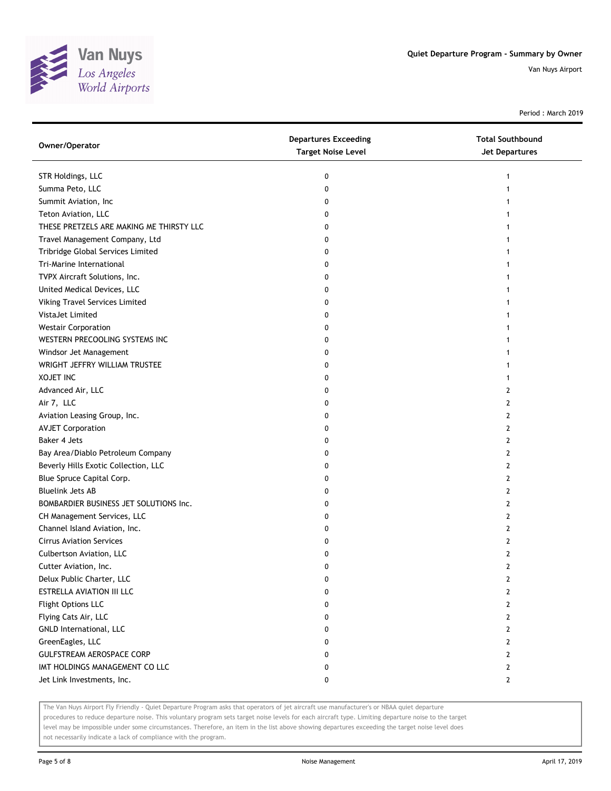

Period : March 2019

| Owner/Operator                           | <b>Departures Exceeding</b><br><b>Target Noise Level</b> | <b>Total Southbound</b><br><b>Jet Departures</b> |
|------------------------------------------|----------------------------------------------------------|--------------------------------------------------|
| STR Holdings, LLC                        | 0                                                        |                                                  |
| Summa Peto, LLC                          | 0                                                        |                                                  |
| Summit Aviation, Inc                     | 0                                                        |                                                  |
| Teton Aviation, LLC                      | 0                                                        |                                                  |
| THESE PRETZELS ARE MAKING ME THIRSTY LLC | 0                                                        |                                                  |
| Travel Management Company, Ltd           | 0                                                        |                                                  |
| Tribridge Global Services Limited        | 0                                                        |                                                  |
| Tri-Marine International                 | 0                                                        |                                                  |
| TVPX Aircraft Solutions, Inc.            | 0                                                        |                                                  |
| United Medical Devices, LLC              | 0                                                        |                                                  |
| Viking Travel Services Limited           | 0                                                        |                                                  |
| VistaJet Limited                         | 0                                                        |                                                  |
| <b>Westair Corporation</b>               | 0                                                        |                                                  |
| WESTERN PRECOOLING SYSTEMS INC           | 0                                                        |                                                  |
| Windsor Jet Management                   | 0                                                        |                                                  |
| WRIGHT JEFFRY WILLIAM TRUSTEE            | 0                                                        |                                                  |
| <b>XOJET INC</b>                         | 0                                                        | 1                                                |
| Advanced Air, LLC                        | 0                                                        | 2                                                |
| Air 7, LLC                               | 0                                                        | 2                                                |
| Aviation Leasing Group, Inc.             | 0                                                        | 2                                                |
| <b>AVJET Corporation</b>                 | 0                                                        | 2                                                |
| Baker 4 Jets                             | 0                                                        | 2                                                |
| Bay Area/Diablo Petroleum Company        | 0                                                        | 2                                                |
| Beverly Hills Exotic Collection, LLC     | 0                                                        | 2                                                |
| Blue Spruce Capital Corp.                | 0                                                        | 2                                                |
| <b>Bluelink Jets AB</b>                  | 0                                                        | 2                                                |
| BOMBARDIER BUSINESS JET SOLUTIONS Inc.   | 0                                                        | 2                                                |
| CH Management Services, LLC              | 0                                                        | 2                                                |
| Channel Island Aviation, Inc.            | 0                                                        | 2                                                |
| <b>Cirrus Aviation Services</b>          | 0                                                        | 2                                                |
| Culbertson Aviation, LLC                 | 0                                                        | 2                                                |
| Cutter Aviation, Inc.                    | 0                                                        | 2                                                |
| Delux Public Charter, LLC                | 0                                                        | 2                                                |
| ESTRELLA AVIATION III LLC                | 0                                                        | 2                                                |
| Flight Options LLC                       | 0                                                        | $\overline{2}$                                   |
| Flying Cats Air, LLC                     | 0                                                        | 2                                                |
| GNLD International, LLC                  | 0                                                        | 2                                                |
| GreenEagles, LLC                         | 0                                                        | 2                                                |
| GULFSTREAM AEROSPACE CORP                | 0                                                        | 2                                                |
| IMT HOLDINGS MANAGEMENT CO LLC           | 0                                                        | $\mathbf{2}$                                     |
| Jet Link Investments, Inc.               | 0                                                        | $\mathbf{2}$                                     |

The Van Nuys Airport Fly Friendly - Quiet Departure Program asks that operators of jet aircraft use manufacturer's or NBAA quiet departure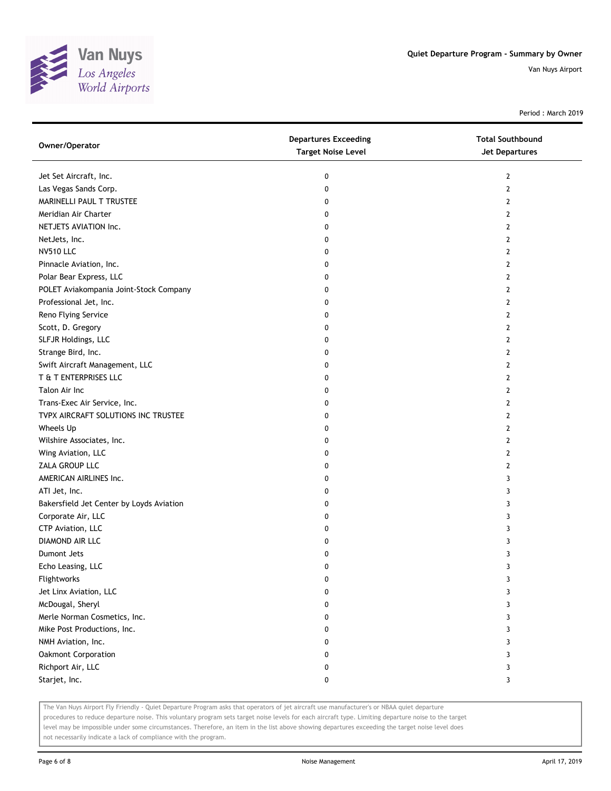

Period : March 2019

| Owner/Operator                           | <b>Departures Exceeding</b><br><b>Target Noise Level</b> | <b>Total Southbound</b><br>Jet Departures |
|------------------------------------------|----------------------------------------------------------|-------------------------------------------|
| Jet Set Aircraft, Inc.                   | 0                                                        | 2                                         |
| Las Vegas Sands Corp.                    | 0                                                        | $\mathbf{2}$                              |
| MARINELLI PAUL T TRUSTEE                 | 0                                                        | 2                                         |
| Meridian Air Charter                     | 0                                                        | 2                                         |
| NETJETS AVIATION Inc.                    | 0                                                        | 2                                         |
| NetJets, Inc.                            | 0                                                        | 2                                         |
| <b>NV510 LLC</b>                         | 0                                                        | 2                                         |
| Pinnacle Aviation, Inc.                  | 0                                                        | 2                                         |
| Polar Bear Express, LLC                  | 0                                                        | $\mathbf{2}$                              |
| POLET Aviakompania Joint-Stock Company   | 0                                                        | $\mathbf{2}$                              |
| Professional Jet, Inc.                   | 0                                                        | $\overline{2}$                            |
| Reno Flying Service                      | 0                                                        | $\mathbf{2}$                              |
| Scott, D. Gregory                        | 0                                                        | 2                                         |
| SLFJR Holdings, LLC                      | 0                                                        | 2                                         |
| Strange Bird, Inc.                       | 0                                                        | $\mathbf{2}$                              |
| Swift Aircraft Management, LLC           | 0                                                        | 2                                         |
| T & T ENTERPRISES LLC                    | 0                                                        | 2                                         |
| Talon Air Inc                            | 0                                                        | 2                                         |
| Trans-Exec Air Service, Inc.             | 0                                                        | 2                                         |
| TVPX AIRCRAFT SOLUTIONS INC TRUSTEE      | 0                                                        | $\mathbf{2}$                              |
| Wheels Up                                | 0                                                        | $\mathbf{2}$                              |
| Wilshire Associates, Inc.                | 0                                                        | $\mathbf{2}$                              |
| Wing Aviation, LLC                       | 0                                                        | 2                                         |
| ZALA GROUP LLC                           | 0                                                        | 2                                         |
| AMERICAN AIRLINES Inc.                   | 0                                                        | 3                                         |
| ATI Jet, Inc.                            | 0                                                        | 3                                         |
| Bakersfield Jet Center by Loyds Aviation | 0                                                        | 3                                         |
| Corporate Air, LLC                       | 0                                                        | 3                                         |
| CTP Aviation, LLC                        | 0                                                        | 3                                         |
| DIAMOND AIR LLC                          | 0                                                        | 3                                         |
| Dumont Jets                              | 0                                                        | 3                                         |
| Echo Leasing, LLC                        | 0                                                        | 3                                         |
| Flightworks                              | 0                                                        | 3                                         |
| Jet Linx Aviation, LLC                   | 0                                                        | 3                                         |
| McDougal, Sheryl                         | 0                                                        | 3                                         |
| Merle Norman Cosmetics, Inc.             | 0                                                        | 3                                         |
| Mike Post Productions, Inc.              | 0                                                        | 3                                         |
| NMH Aviation, Inc.                       | 0                                                        | 3                                         |
| Oakmont Corporation                      | 0                                                        | 3                                         |
| Richport Air, LLC                        | 0                                                        | 3                                         |
| Starjet, Inc.                            | 0                                                        | 3                                         |

The Van Nuys Airport Fly Friendly - Quiet Departure Program asks that operators of jet aircraft use manufacturer's or NBAA quiet departure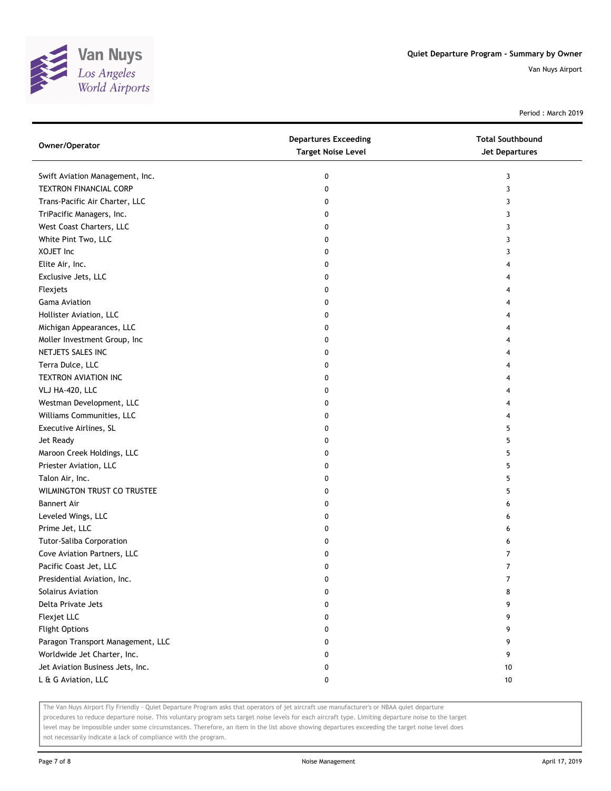

Period : March 2019

| Owner/Operator                    | <b>Departures Exceeding</b><br><b>Target Noise Level</b> | <b>Total Southbound</b><br>Jet Departures |
|-----------------------------------|----------------------------------------------------------|-------------------------------------------|
| Swift Aviation Management, Inc.   | 0                                                        | 3                                         |
| TEXTRON FINANCIAL CORP            | 0                                                        | 3                                         |
| Trans-Pacific Air Charter, LLC    | 0                                                        | 3                                         |
| TriPacific Managers, Inc.         | 0                                                        | 3                                         |
| West Coast Charters, LLC          | 0                                                        | 3                                         |
| White Pint Two, LLC               | 0                                                        | 3                                         |
| XOJET Inc                         | 0                                                        | 3                                         |
| Elite Air, Inc.                   | 0                                                        | 4                                         |
| Exclusive Jets, LLC               | 0                                                        | 4                                         |
| Flexjets                          | 0                                                        | 4                                         |
| <b>Gama Aviation</b>              | 0                                                        |                                           |
| Hollister Aviation, LLC           | 0                                                        |                                           |
| Michigan Appearances, LLC         | 0                                                        | 4                                         |
| Moller Investment Group, Inc      | 0                                                        | 4                                         |
| NETJETS SALES INC                 | 0                                                        | 4                                         |
| Terra Dulce, LLC                  | 0                                                        | 4                                         |
| TEXTRON AVIATION INC              | 0                                                        | 4                                         |
| VLJ HA-420, LLC                   | 0                                                        | 4                                         |
| Westman Development, LLC          | 0                                                        | 4                                         |
| Williams Communities, LLC         | 0                                                        | 4                                         |
| Executive Airlines, SL            | 0                                                        | 5                                         |
| Jet Ready                         | 0                                                        | 5                                         |
| Maroon Creek Holdings, LLC        | 0                                                        | 5                                         |
| Priester Aviation, LLC            | 0                                                        | 5                                         |
| Talon Air, Inc.                   | 0                                                        | 5                                         |
| WILMINGTON TRUST CO TRUSTEE       | 0                                                        | 5                                         |
| <b>Bannert Air</b>                | 0                                                        | 6                                         |
| Leveled Wings, LLC                | 0                                                        | 6                                         |
| Prime Jet, LLC                    | 0                                                        | 6                                         |
| Tutor-Saliba Corporation          | 0                                                        | 6                                         |
| Cove Aviation Partners, LLC       | 0                                                        | 7                                         |
| Pacific Coast Jet, LLC            | 0                                                        | 7                                         |
| Presidential Aviation, Inc.       | 0                                                        | 7                                         |
| Solairus Aviation                 | 0                                                        | 8                                         |
| Delta Private Jets                | 0                                                        | 9                                         |
| Flexjet LLC                       | 0                                                        | 9                                         |
| <b>Flight Options</b>             | 0                                                        | 9                                         |
| Paragon Transport Management, LLC | 0                                                        | 9                                         |
| Worldwide Jet Charter, Inc.       | 0                                                        | 9                                         |
| Jet Aviation Business Jets, Inc.  | 0                                                        | 10                                        |
| L & G Aviation, LLC               | 0                                                        | 10                                        |

The Van Nuys Airport Fly Friendly - Quiet Departure Program asks that operators of jet aircraft use manufacturer's or NBAA quiet departure